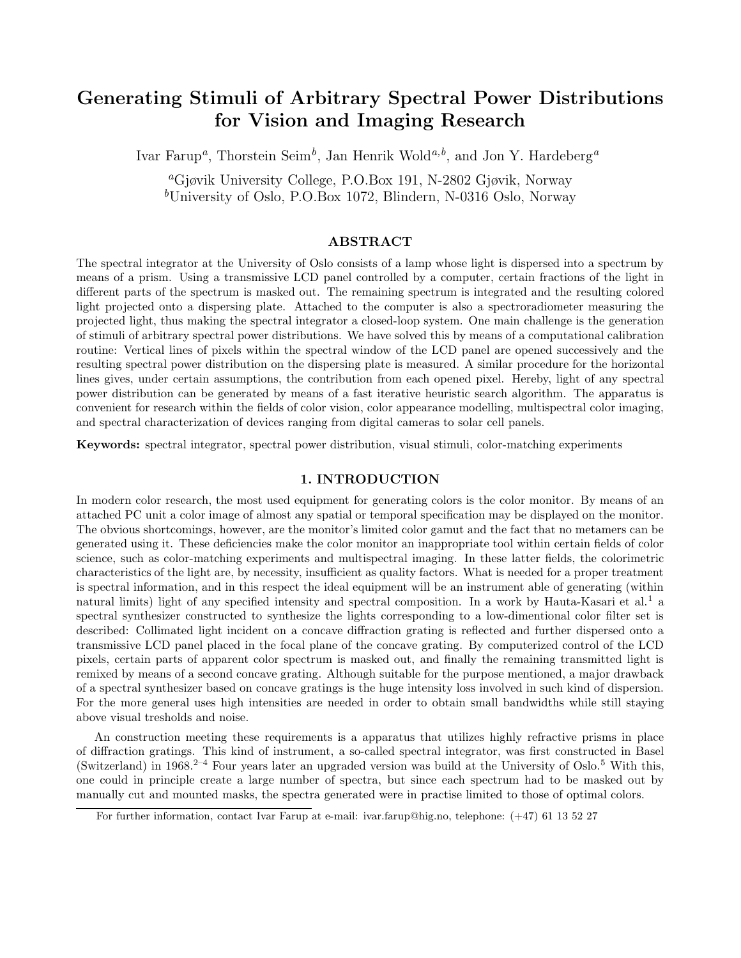# Generating Stimuli of Arbitrary Spectral Power Distributions for Vision and Imaging Research

Ivar Farup<sup>a</sup>, Thorstein Seim<sup>b</sup>, Jan Henrik Wold<sup>a,b</sup>, and Jon Y. Hardeberg<sup>a</sup>

<sup>a</sup>Gjøvik University College, P.O.Box 191, N-2802 Gjøvik, Norway <sup>b</sup>University of Oslo, P.O.Box 1072, Blindern, N-0316 Oslo, Norway

#### ABSTRACT

The spectral integrator at the University of Oslo consists of a lamp whose light is dispersed into a spectrum by means of a prism. Using a transmissive LCD panel controlled by a computer, certain fractions of the light in different parts of the spectrum is masked out. The remaining spectrum is integrated and the resulting colored light projected onto a dispersing plate. Attached to the computer is also a spectroradiometer measuring the projected light, thus making the spectral integrator a closed-loop system. One main challenge is the generation of stimuli of arbitrary spectral power distributions. We have solved this by means of a computational calibration routine: Vertical lines of pixels within the spectral window of the LCD panel are opened successively and the resulting spectral power distribution on the dispersing plate is measured. A similar procedure for the horizontal lines gives, under certain assumptions, the contribution from each opened pixel. Hereby, light of any spectral power distribution can be generated by means of a fast iterative heuristic search algorithm. The apparatus is convenient for research within the fields of color vision, color appearance modelling, multispectral color imaging, and spectral characterization of devices ranging from digital cameras to solar cell panels.

Keywords: spectral integrator, spectral power distribution, visual stimuli, color-matching experiments

# 1. INTRODUCTION

In modern color research, the most used equipment for generating colors is the color monitor. By means of an attached PC unit a color image of almost any spatial or temporal specification may be displayed on the monitor. The obvious shortcomings, however, are the monitor's limited color gamut and the fact that no metamers can be generated using it. These deficiencies make the color monitor an inappropriate tool within certain fields of color science, such as color-matching experiments and multispectral imaging. In these latter fields, the colorimetric characteristics of the light are, by necessity, insufficient as quality factors. What is needed for a proper treatment is spectral information, and in this respect the ideal equipment will be an instrument able of generating (within natural limits) light of any specified intensity and spectral composition. In a work by Hauta-Kasari et al.<sup>1</sup> a spectral synthesizer constructed to synthesize the lights corresponding to a low-dimentional color filter set is described: Collimated light incident on a concave diffraction grating is reflected and further dispersed onto a transmissive LCD panel placed in the focal plane of the concave grating. By computerized control of the LCD pixels, certain parts of apparent color spectrum is masked out, and finally the remaining transmitted light is remixed by means of a second concave grating. Although suitable for the purpose mentioned, a major drawback of a spectral synthesizer based on concave gratings is the huge intensity loss involved in such kind of dispersion. For the more general uses high intensities are needed in order to obtain small bandwidths while still staying above visual tresholds and noise.

An construction meeting these requirements is a apparatus that utilizes highly refractive prisms in place of diffraction gratings. This kind of instrument, a so-called spectral integrator, was first constructed in Basel (Switzerland) in 1968.<sup>2–4</sup> Four years later an upgraded version was build at the University of Oslo.<sup>5</sup> With this, one could in principle create a large number of spectra, but since each spectrum had to be masked out by manually cut and mounted masks, the spectra generated were in practise limited to those of optimal colors.

For further information, contact Ivar Farup at e-mail: ivar.farup@hig.no, telephone: (+47) 61 13 52 27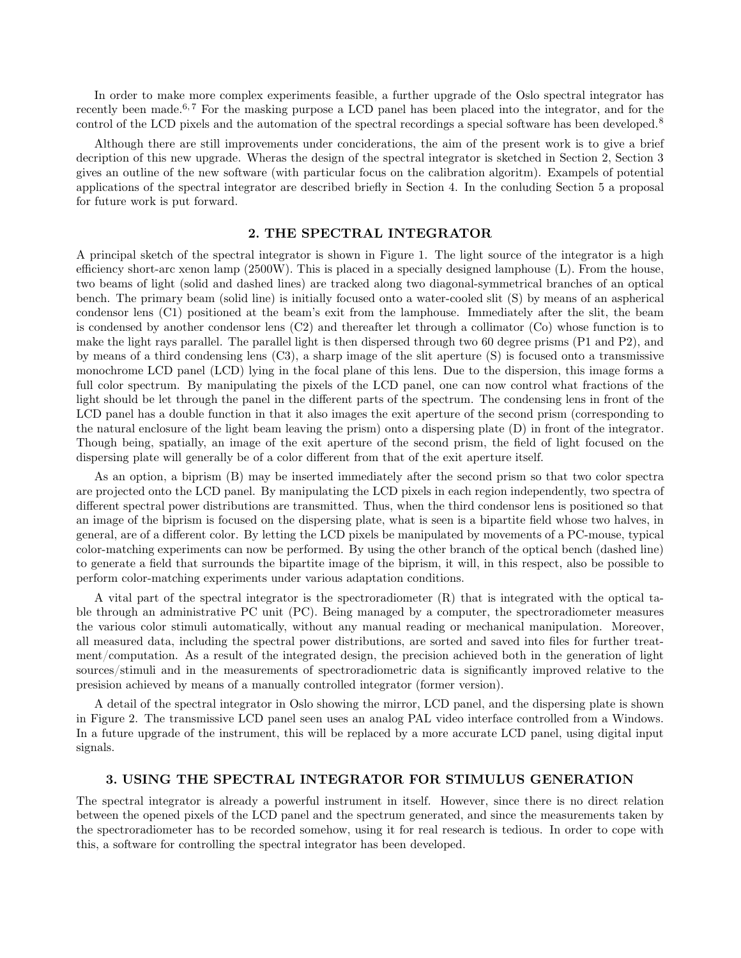In order to make more complex experiments feasible, a further upgrade of the Oslo spectral integrator has recently been made.<sup>6,7</sup> For the masking purpose a LCD panel has been placed into the integrator, and for the control of the LCD pixels and the automation of the spectral recordings a special software has been developed.<sup>8</sup>

Although there are still improvements under conciderations, the aim of the present work is to give a brief decription of this new upgrade. Wheras the design of the spectral integrator is sketched in Section 2, Section 3 gives an outline of the new software (with particular focus on the calibration algoritm). Exampels of potential applications of the spectral integrator are described briefly in Section 4. In the conluding Section 5 a proposal for future work is put forward.

## 2. THE SPECTRAL INTEGRATOR

A principal sketch of the spectral integrator is shown in Figure 1. The light source of the integrator is a high efficiency short-arc xenon lamp (2500W). This is placed in a specially designed lamphouse (L). From the house, two beams of light (solid and dashed lines) are tracked along two diagonal-symmetrical branches of an optical bench. The primary beam (solid line) is initially focused onto a water-cooled slit (S) by means of an aspherical condensor lens (C1) positioned at the beam's exit from the lamphouse. Immediately after the slit, the beam is condensed by another condensor lens (C2) and thereafter let through a collimator (Co) whose function is to make the light rays parallel. The parallel light is then dispersed through two 60 degree prisms (P1 and P2), and by means of a third condensing lens (C3), a sharp image of the slit aperture (S) is focused onto a transmissive monochrome LCD panel (LCD) lying in the focal plane of this lens. Due to the dispersion, this image forms a full color spectrum. By manipulating the pixels of the LCD panel, one can now control what fractions of the light should be let through the panel in the different parts of the spectrum. The condensing lens in front of the LCD panel has a double function in that it also images the exit aperture of the second prism (corresponding to the natural enclosure of the light beam leaving the prism) onto a dispersing plate (D) in front of the integrator. Though being, spatially, an image of the exit aperture of the second prism, the field of light focused on the dispersing plate will generally be of a color different from that of the exit aperture itself.

As an option, a biprism (B) may be inserted immediately after the second prism so that two color spectra are projected onto the LCD panel. By manipulating the LCD pixels in each region independently, two spectra of different spectral power distributions are transmitted. Thus, when the third condensor lens is positioned so that an image of the biprism is focused on the dispersing plate, what is seen is a bipartite field whose two halves, in general, are of a different color. By letting the LCD pixels be manipulated by movements of a PC-mouse, typical color-matching experiments can now be performed. By using the other branch of the optical bench (dashed line) to generate a field that surrounds the bipartite image of the biprism, it will, in this respect, also be possible to perform color-matching experiments under various adaptation conditions.

A vital part of the spectral integrator is the spectroradiometer (R) that is integrated with the optical table through an administrative PC unit (PC). Being managed by a computer, the spectroradiometer measures the various color stimuli automatically, without any manual reading or mechanical manipulation. Moreover, all measured data, including the spectral power distributions, are sorted and saved into files for further treatment/computation. As a result of the integrated design, the precision achieved both in the generation of light sources/stimuli and in the measurements of spectroradiometric data is significantly improved relative to the presision achieved by means of a manually controlled integrator (former version).

A detail of the spectral integrator in Oslo showing the mirror, LCD panel, and the dispersing plate is shown in Figure 2. The transmissive LCD panel seen uses an analog PAL video interface controlled from a Windows. In a future upgrade of the instrument, this will be replaced by a more accurate LCD panel, using digital input signals.

#### 3. USING THE SPECTRAL INTEGRATOR FOR STIMULUS GENERATION

The spectral integrator is already a powerful instrument in itself. However, since there is no direct relation between the opened pixels of the LCD panel and the spectrum generated, and since the measurements taken by the spectroradiometer has to be recorded somehow, using it for real research is tedious. In order to cope with this, a software for controlling the spectral integrator has been developed.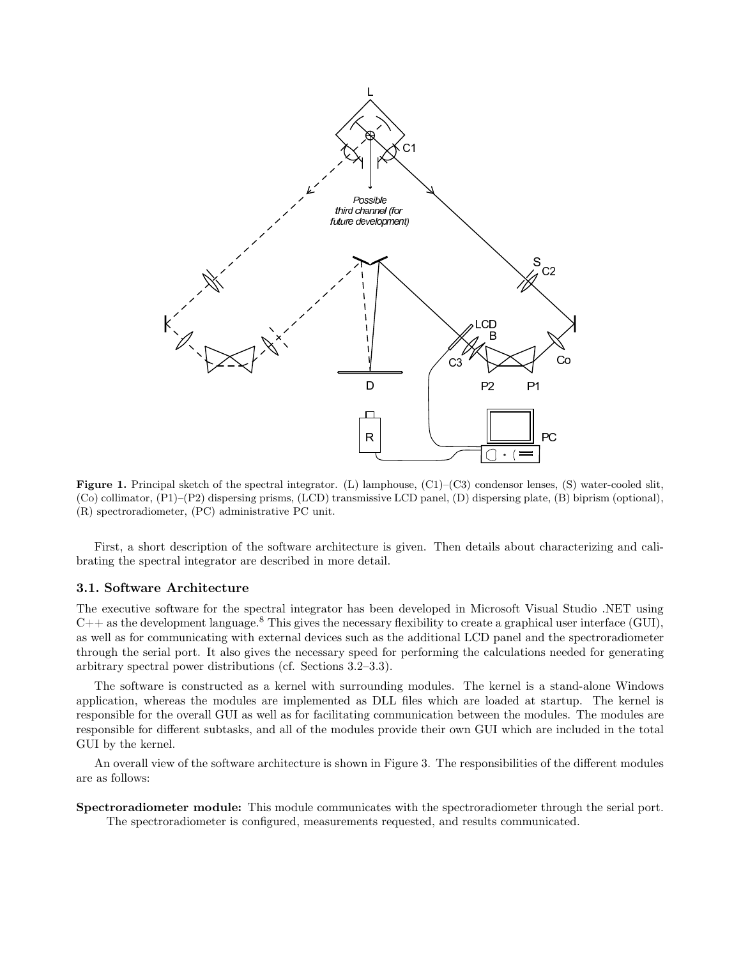

Figure 1. Principal sketch of the spectral integrator. (L) lamphouse,  $(C1)$ – $(C3)$  condensor lenses,  $(S)$  water-cooled slit, (Co) collimator, (P1)–(P2) dispersing prisms, (LCD) transmissive LCD panel, (D) dispersing plate, (B) biprism (optional), (R) spectroradiometer, (PC) administrative PC unit.

First, a short description of the software architecture is given. Then details about characterizing and calibrating the spectral integrator are described in more detail.

## 3.1. Software Architecture

The executive software for the spectral integrator has been developed in Microsoft Visual Studio .NET using  $C++$  as the development language.<sup>8</sup> This gives the necessary flexibility to create a graphical user interface (GUI), as well as for communicating with external devices such as the additional LCD panel and the spectroradiometer through the serial port. It also gives the necessary speed for performing the calculations needed for generating arbitrary spectral power distributions (cf. Sections 3.2–3.3).

The software is constructed as a kernel with surrounding modules. The kernel is a stand-alone Windows application, whereas the modules are implemented as DLL files which are loaded at startup. The kernel is responsible for the overall GUI as well as for facilitating communication between the modules. The modules are responsible for different subtasks, and all of the modules provide their own GUI which are included in the total GUI by the kernel.

An overall view of the software architecture is shown in Figure 3. The responsibilities of the different modules are as follows:

Spectroradiometer module: This module communicates with the spectroradiometer through the serial port. The spectroradiometer is configured, measurements requested, and results communicated.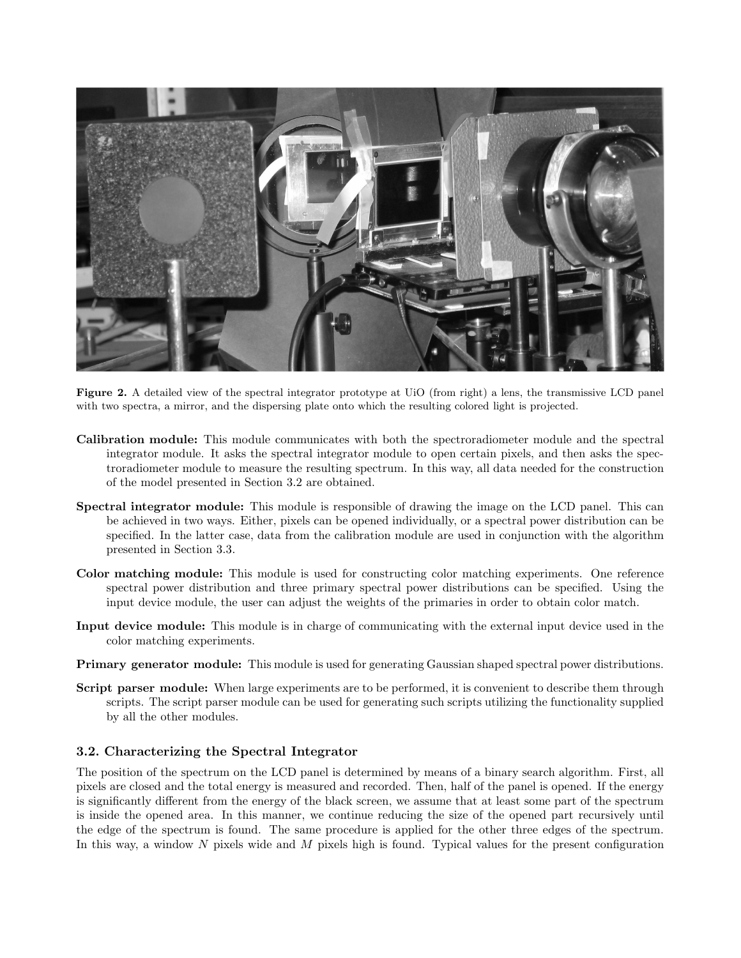

Figure 2. A detailed view of the spectral integrator prototype at UiO (from right) a lens, the transmissive LCD panel with two spectra, a mirror, and the dispersing plate onto which the resulting colored light is projected.

- Calibration module: This module communicates with both the spectroradiometer module and the spectral integrator module. It asks the spectral integrator module to open certain pixels, and then asks the spectroradiometer module to measure the resulting spectrum. In this way, all data needed for the construction of the model presented in Section 3.2 are obtained.
- Spectral integrator module: This module is responsible of drawing the image on the LCD panel. This can be achieved in two ways. Either, pixels can be opened individually, or a spectral power distribution can be specified. In the latter case, data from the calibration module are used in conjunction with the algorithm presented in Section 3.3.
- Color matching module: This module is used for constructing color matching experiments. One reference spectral power distribution and three primary spectral power distributions can be specified. Using the input device module, the user can adjust the weights of the primaries in order to obtain color match.
- Input device module: This module is in charge of communicating with the external input device used in the color matching experiments.
- **Primary generator module:** This module is used for generating Gaussian shaped spectral power distributions.
- Script parser module: When large experiments are to be performed, it is convenient to describe them through scripts. The script parser module can be used for generating such scripts utilizing the functionality supplied by all the other modules.

# 3.2. Characterizing the Spectral Integrator

The position of the spectrum on the LCD panel is determined by means of a binary search algorithm. First, all pixels are closed and the total energy is measured and recorded. Then, half of the panel is opened. If the energy is significantly different from the energy of the black screen, we assume that at least some part of the spectrum is inside the opened area. In this manner, we continue reducing the size of the opened part recursively until the edge of the spectrum is found. The same procedure is applied for the other three edges of the spectrum. In this way, a window  $N$  pixels wide and  $M$  pixels high is found. Typical values for the present configuration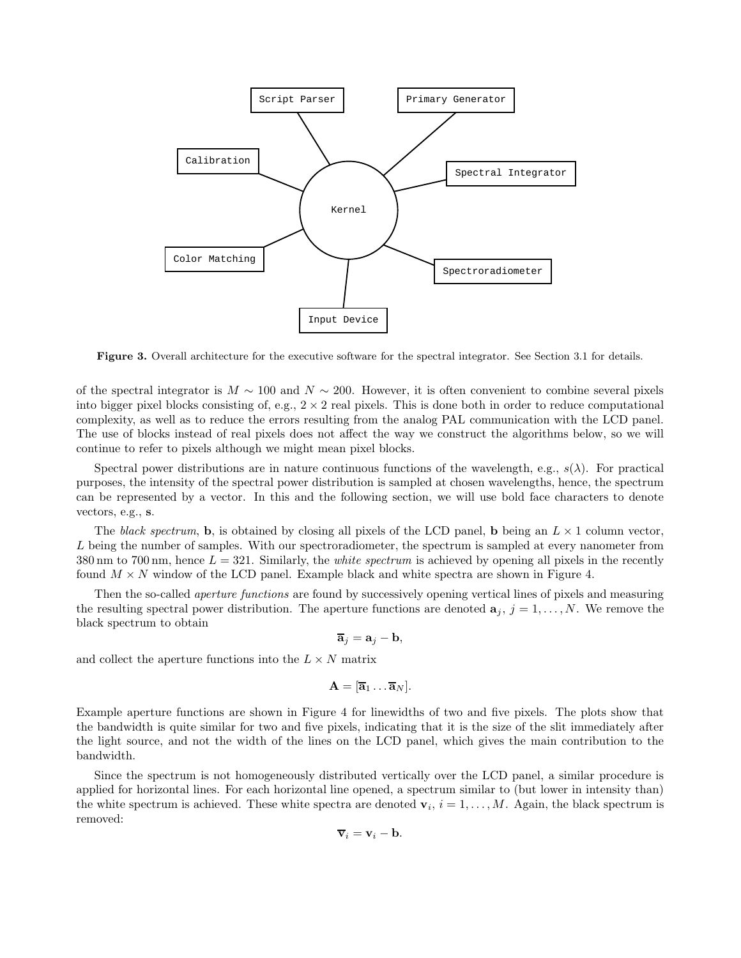

Figure 3. Overall architecture for the executive software for the spectral integrator. See Section 3.1 for details.

of the spectral integrator is  $M \sim 100$  and  $N \sim 200$ . However, it is often convenient to combine several pixels into bigger pixel blocks consisting of, e.g.,  $2 \times 2$  real pixels. This is done both in order to reduce computational complexity, as well as to reduce the errors resulting from the analog PAL communication with the LCD panel. The use of blocks instead of real pixels does not affect the way we construct the algorithms below, so we will continue to refer to pixels although we might mean pixel blocks.

Spectral power distributions are in nature continuous functions of the wavelength, e.g.,  $s(\lambda)$ . For practical purposes, the intensity of the spectral power distribution is sampled at chosen wavelengths, hence, the spectrum can be represented by a vector. In this and the following section, we will use bold face characters to denote vectors, e.g., s.

The black spectrum, b, is obtained by closing all pixels of the LCD panel, b being an  $L \times 1$  column vector, L being the number of samples. With our spectroradiometer, the spectrum is sampled at every nanometer from 380 nm to 700 nm, hence  $L = 321$ . Similarly, the *white spectrum* is achieved by opening all pixels in the recently found  $M \times N$  window of the LCD panel. Example black and white spectra are shown in Figure 4.

Then the so-called *aperture functions* are found by successively opening vertical lines of pixels and measuring the resulting spectral power distribution. The aperture functions are denoted  $\mathbf{a}_j$ ,  $j = 1, \ldots, N$ . We remove the black spectrum to obtain

$$
\overline{\mathbf{a}}_j = \mathbf{a}_j - \mathbf{b},
$$

and collect the aperture functions into the  $L \times N$  matrix

$$
\mathbf{A} = [\overline{\mathbf{a}}_1 \dots \overline{\mathbf{a}}_N].
$$

Example aperture functions are shown in Figure 4 for linewidths of two and five pixels. The plots show that the bandwidth is quite similar for two and five pixels, indicating that it is the size of the slit immediately after the light source, and not the width of the lines on the LCD panel, which gives the main contribution to the bandwidth.

Since the spectrum is not homogeneously distributed vertically over the LCD panel, a similar procedure is applied for horizontal lines. For each horizontal line opened, a spectrum similar to (but lower in intensity than) the white spectrum is achieved. These white spectra are denoted  $\mathbf{v}_i$ ,  $i = 1, \ldots, M$ . Again, the black spectrum is removed:

$$
\overline{\mathbf{v}}_i = \mathbf{v}_i - \mathbf{b}.
$$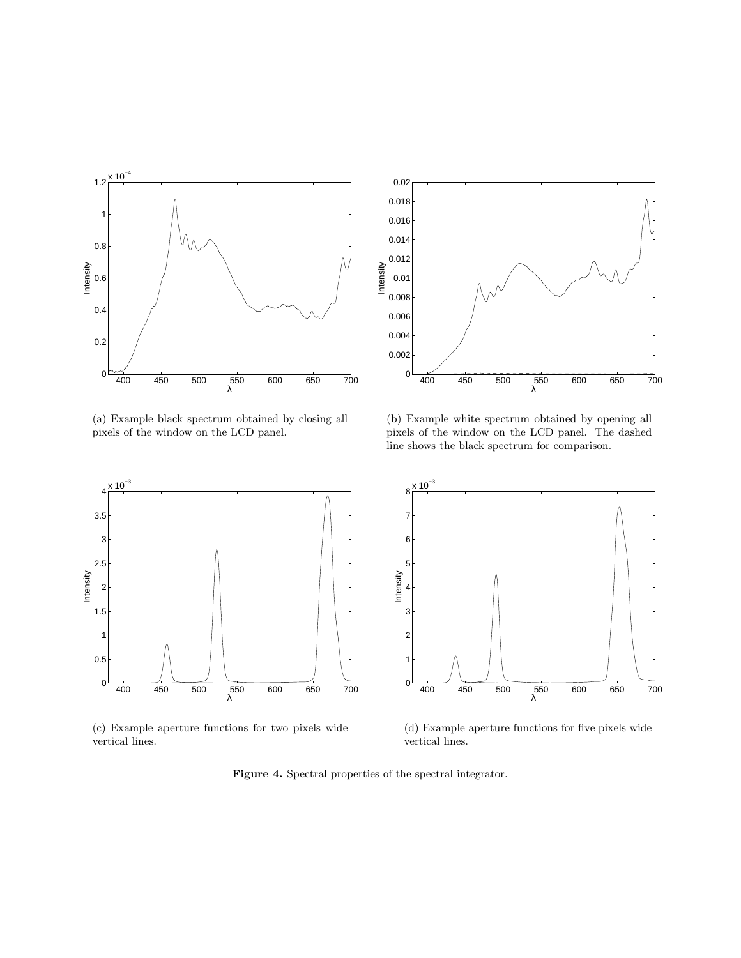

(a) Example black spectrum obtained by closing all pixels of the window on the LCD panel.



(c) Example aperture functions for two pixels wide vertical lines.



(b) Example white spectrum obtained by opening all pixels of the window on the LCD panel. The dashed line shows the black spectrum for comparison.



(d) Example aperture functions for five pixels wide vertical lines.

Figure 4. Spectral properties of the spectral integrator.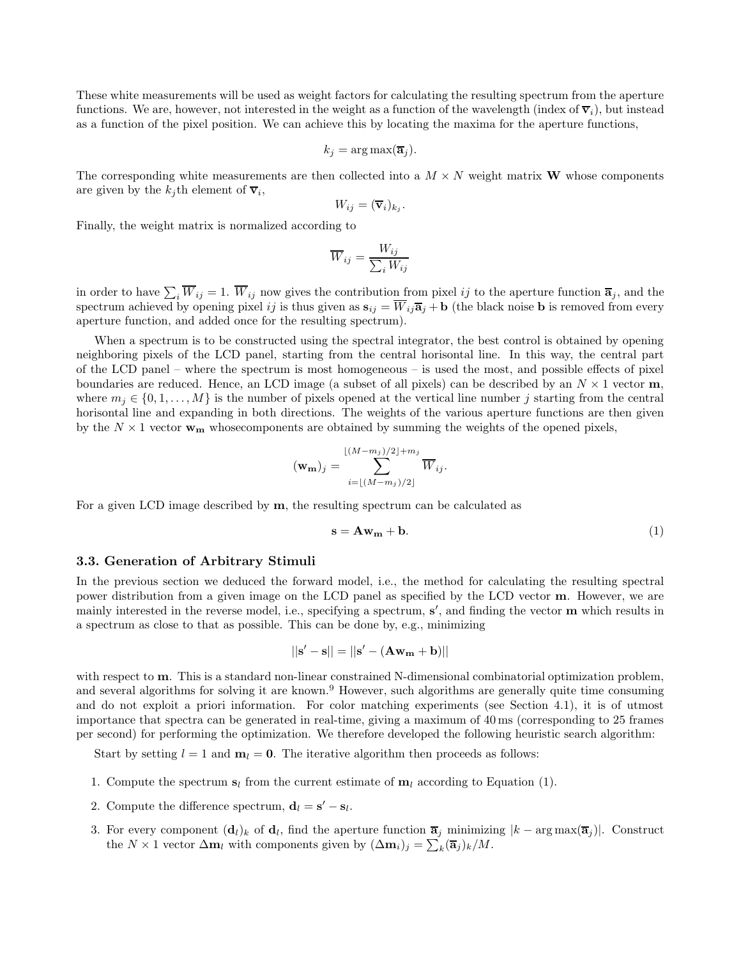These white measurements will be used as weight factors for calculating the resulting spectrum from the aperture functions. We are, however, not interested in the weight as a function of the wavelength (index of  $\overline{v}_i$ ), but instead as a function of the pixel position. We can achieve this by locating the maxima for the aperture functions,

$$
k_j = \arg \max(\overline{\mathbf{a}}_j).
$$

The corresponding white measurements are then collected into a  $M \times N$  weight matrix W whose components are given by the  $k_j$ th element of  $\overline{\mathbf{v}}_i$ ,

$$
W_{ij} = (\overline{\mathbf{v}}_i)_{k_j}.
$$

Finally, the weight matrix is normalized according to

$$
\overline{W}_{ij} = \frac{W_{ij}}{\sum_{i} W_{ij}}
$$

in order to have  $\sum_i \overline{W}_{ij} = 1$ .  $\overline{W}_{ij}$  now gives the contribution from pixel ij to the aperture function  $\overline{a}_j$ , and the spectrum achieved by opening pixel ij is thus given as  $s_{ij} = \overline{W}_{ij}\overline{a}_j + b$  (the black noise b is removed from every aperture function, and added once for the resulting spectrum).

When a spectrum is to be constructed using the spectral integrator, the best control is obtained by opening neighboring pixels of the LCD panel, starting from the central horisontal line. In this way, the central part of the LCD panel – where the spectrum is most homogeneous – is used the most, and possible effects of pixel boundaries are reduced. Hence, an LCD image (a subset of all pixels) can be described by an  $N \times 1$  vector m, where  $m_i \in \{0, 1, \ldots, M\}$  is the number of pixels opened at the vertical line number j starting from the central horisontal line and expanding in both directions. The weights of the various aperture functions are then given by the  $N \times 1$  vector  $\mathbf{w}_{\mathbf{m}}$  whose components are obtained by summing the weights of the opened pixels,

$$
(\mathbf{w}_{\mathbf{m}})_j = \sum_{i=\lfloor (M-m_j)/2 \rfloor}^{\lfloor (M-m_j)/2 \rfloor + m_j} \overline{W}_{ij}.
$$

For a given LCD image described by m, the resulting spectrum can be calculated as

$$
s = A w_m + b. \tag{1}
$$

#### 3.3. Generation of Arbitrary Stimuli

In the previous section we deduced the forward model, i.e., the method for calculating the resulting spectral power distribution from a given image on the LCD panel as specified by the LCD vector m. However, we are mainly interested in the reverse model, i.e., specifying a spectrum, s', and finding the vector **m** which results in a spectrum as close to that as possible. This can be done by, e.g., minimizing

$$
||\mathbf{s}' - \mathbf{s}|| = ||\mathbf{s}' - (\mathbf{A}\mathbf{w}_{\mathbf{m}} + \mathbf{b})||
$$

with respect to **m**. This is a standard non-linear constrained N-dimensional combinatorial optimization problem, and several algorithms for solving it are known.<sup>9</sup> However, such algorithms are generally quite time consuming and do not exploit a priori information. For color matching experiments (see Section 4.1), it is of utmost importance that spectra can be generated in real-time, giving a maximum of 40 ms (corresponding to 25 frames per second) for performing the optimization. We therefore developed the following heuristic search algorithm:

Start by setting  $l = 1$  and  $m_l = 0$ . The iterative algorithm then proceeds as follows:

- 1. Compute the spectrum  $s_l$  from the current estimate of  $m_l$  according to Equation (1).
- 2. Compute the difference spectrum,  $\mathbf{d}_l = \mathbf{s}' \mathbf{s}_l$ .
- 3. For every component  $(\mathbf{d}_l)_k$  of  $\mathbf{d}_l$ , find the aperture function  $\overline{\mathbf{a}}_j$  minimizing  $|k \arg \max(\overline{\mathbf{a}}_j)|$ . Construct the  $N \times 1$  vector  $\Delta \mathbf{m}_l$  with components given by  $(\Delta \mathbf{m}_i)_j = \sum_k (\mathbf{\overline{a}}_j)_k / M$ .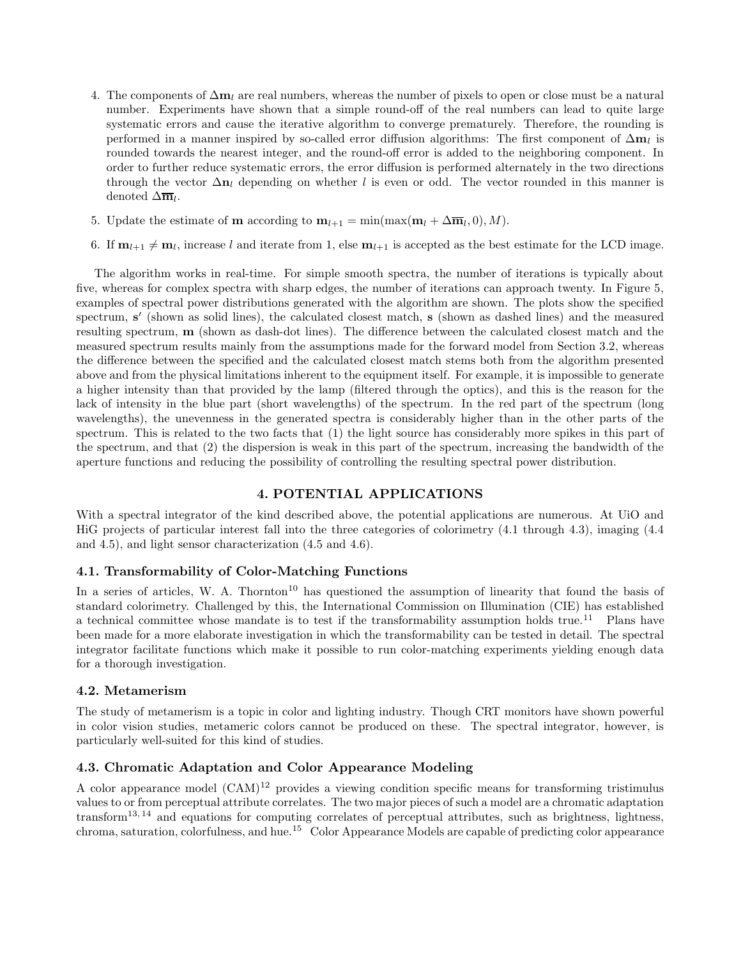- 4. The components of  $\Delta m_l$  are real numbers, whereas the number of pixels to open or close must be a natural number. Experiments have shown that a simple round-off of the real numbers can lead to quite large systematic errors and cause the iterative algorithm to converge prematurely. Therefore, the rounding is performed in a manner inspired by so-called error diffusion algorithms: The first component of  $\Delta m_l$  is rounded towards the nearest integer, and the round-off error is added to the neighboring component. In order to further reduce systematic errors, the error diffusion is performed alternately in the two directions through the vector  $\Delta n_l$  depending on whether l is even or odd. The vector rounded in this manner is denoted  $\Delta \overline{\mathbf{m}}_l$ .
- 5. Update the estimate of **m** according to  $\mathbf{m}_{l+1} = \min(\max(\mathbf{m}_l + \Delta \overline{\mathbf{m}}_l, 0), M)$ .
- 6. If  $m_{l+1} \neq m_l$ , increase l and iterate from 1, else  $m_{l+1}$  is accepted as the best estimate for the LCD image.

The algorithm works in real-time. For simple smooth spectra, the number of iterations is typically about five, whereas for complex spectra with sharp edges, the number of iterations can approach twenty. In Figure 5, examples of spectral power distributions generated with the algorithm are shown. The plots show the specified spectrum, s' (shown as solid lines), the calculated closest match, s (shown as dashed lines) and the measured resulting spectrum, m (shown as dash-dot lines). The difference between the calculated closest match and the measured spectrum results mainly from the assumptions made for the forward model from Section 3.2, whereas the difference between the specified and the calculated closest match stems both from the algorithm presented above and from the physical limitations inherent to the equipment itself. For example, it is impossible to generate a higher intensity than that provided by the lamp (filtered through the optics), and this is the reason for the lack of intensity in the blue part (short wavelengths) of the spectrum. In the red part of the spectrum (long wavelengths), the unevenness in the generated spectra is considerably higher than in the other parts of the spectrum. This is related to the two facts that (1) the light source has considerably more spikes in this part of the spectrum, and that (2) the dispersion is weak in this part of the spectrum, increasing the bandwidth of the aperture functions and reducing the possibility of controlling the resulting spectral power distribution.

# 4. POTENTIAL APPLICATIONS

With a spectral integrator of the kind described above, the potential applications are numerous. At UiO and HiG projects of particular interest fall into the three categories of colorimetry (4.1 through 4.3), imaging (4.4 and 4.5), and light sensor characterization (4.5 and 4.6).

# 4.1. Transformability of Color-Matching Functions

In a series of articles, W. A. Thornton<sup>10</sup> has questioned the assumption of linearity that found the basis of standard colorimetry. Challenged by this, the International Commission on Illumination (CIE) has established a technical committee whose mandate is to test if the transformability assumption holds true.<sup>11</sup> Plans have been made for a more elaborate investigation in which the transformability can be tested in detail. The spectral integrator facilitate functions which make it possible to run color-matching experiments yielding enough data for a thorough investigation.

## 4.2. Metamerism

The study of metamerism is a topic in color and lighting industry. Though CRT monitors have shown powerful in color vision studies, metameric colors cannot be produced on these. The spectral integrator, however, is particularly well-suited for this kind of studies.

# 4.3. Chromatic Adaptation and Color Appearance Modeling

A color appearance model  $(CAM)^{12}$  provides a viewing condition specific means for transforming tristimulus values to or from perceptual attribute correlates. The two major pieces of such a model are a chromatic adaptation transform<sup>13, 14</sup> and equations for computing correlates of perceptual attributes, such as brightness, lightness, chroma, saturation, colorfulness, and hue.<sup>15</sup> Color Appearance Models are capable of predicting color appearance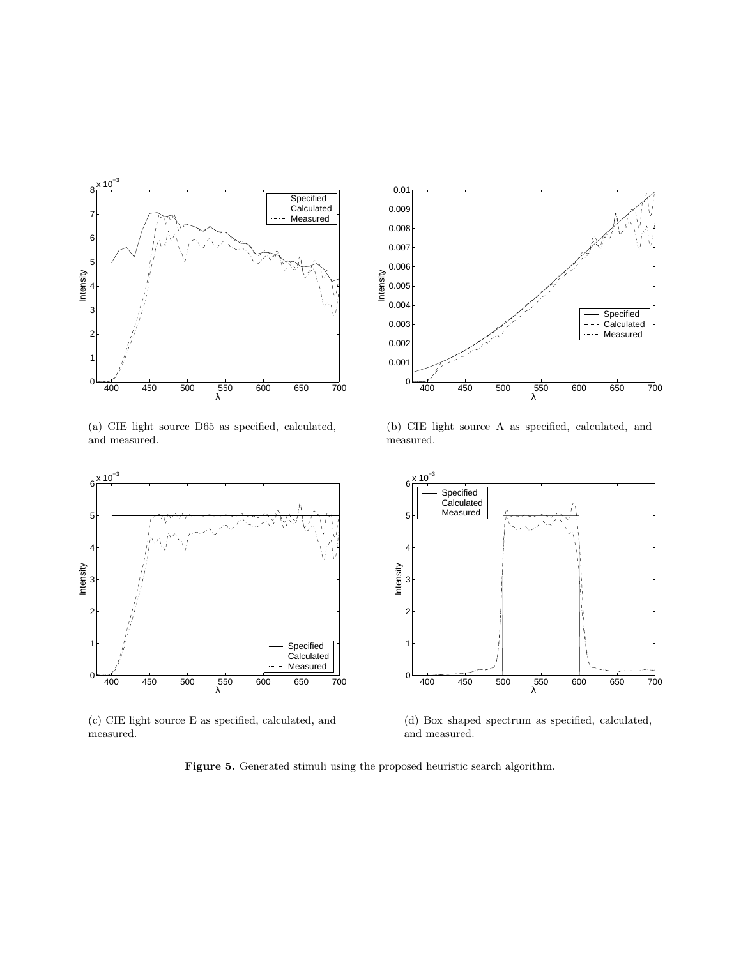

(a) CIE light source D65 as specified, calculated, and measured.



(c) CIE light source E as specified, calculated, and measured.



(b) CIE light source A as specified, calculated, and measured.



(d) Box shaped spectrum as specified, calculated, and measured.

Figure 5. Generated stimuli using the proposed heuristic search algorithm.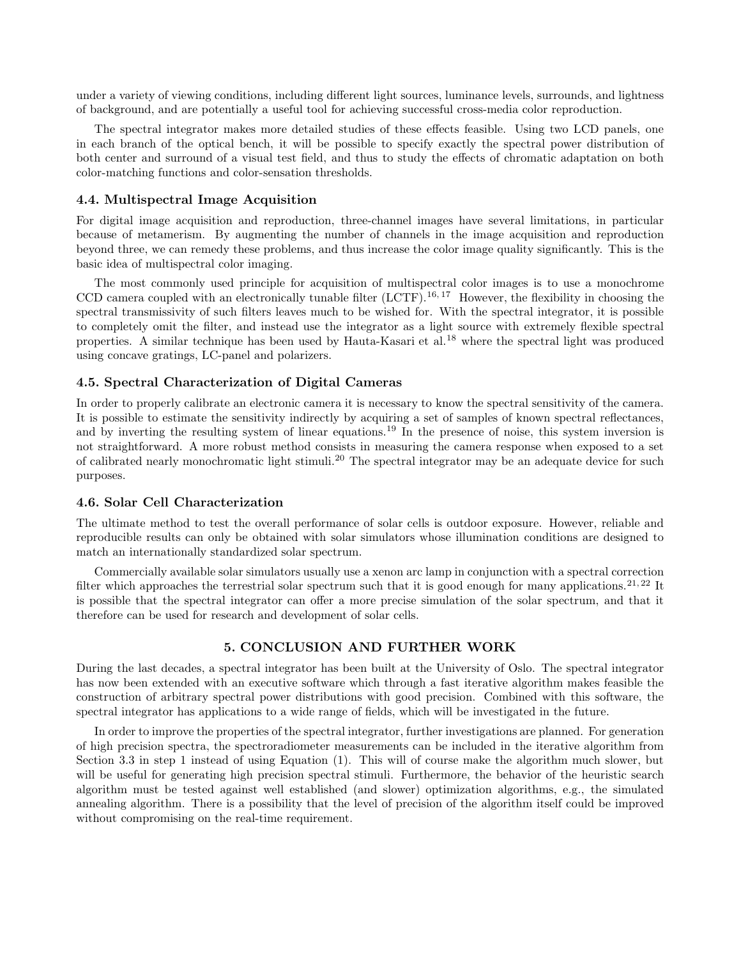under a variety of viewing conditions, including different light sources, luminance levels, surrounds, and lightness of background, and are potentially a useful tool for achieving successful cross-media color reproduction.

The spectral integrator makes more detailed studies of these effects feasible. Using two LCD panels, one in each branch of the optical bench, it will be possible to specify exactly the spectral power distribution of both center and surround of a visual test field, and thus to study the effects of chromatic adaptation on both color-matching functions and color-sensation thresholds.

## 4.4. Multispectral Image Acquisition

For digital image acquisition and reproduction, three-channel images have several limitations, in particular because of metamerism. By augmenting the number of channels in the image acquisition and reproduction beyond three, we can remedy these problems, and thus increase the color image quality significantly. This is the basic idea of multispectral color imaging.

The most commonly used principle for acquisition of multispectral color images is to use a monochrome CCD camera coupled with an electronically tunable filter  $(LCTF)^{16, 17}$  However, the flexibility in choosing the spectral transmissivity of such filters leaves much to be wished for. With the spectral integrator, it is possible to completely omit the filter, and instead use the integrator as a light source with extremely flexible spectral properties. A similar technique has been used by Hauta-Kasari et al.<sup>18</sup> where the spectral light was produced using concave gratings, LC-panel and polarizers.

## 4.5. Spectral Characterization of Digital Cameras

In order to properly calibrate an electronic camera it is necessary to know the spectral sensitivity of the camera. It is possible to estimate the sensitivity indirectly by acquiring a set of samples of known spectral reflectances, and by inverting the resulting system of linear equations.<sup>19</sup> In the presence of noise, this system inversion is not straightforward. A more robust method consists in measuring the camera response when exposed to a set of calibrated nearly monochromatic light stimuli.<sup>20</sup> The spectral integrator may be an adequate device for such purposes.

#### 4.6. Solar Cell Characterization

The ultimate method to test the overall performance of solar cells is outdoor exposure. However, reliable and reproducible results can only be obtained with solar simulators whose illumination conditions are designed to match an internationally standardized solar spectrum.

Commercially available solar simulators usually use a xenon arc lamp in conjunction with a spectral correction filter which approaches the terrestrial solar spectrum such that it is good enough for many applications.<sup>21, 22</sup> It is possible that the spectral integrator can offer a more precise simulation of the solar spectrum, and that it therefore can be used for research and development of solar cells.

#### 5. CONCLUSION AND FURTHER WORK

During the last decades, a spectral integrator has been built at the University of Oslo. The spectral integrator has now been extended with an executive software which through a fast iterative algorithm makes feasible the construction of arbitrary spectral power distributions with good precision. Combined with this software, the spectral integrator has applications to a wide range of fields, which will be investigated in the future.

In order to improve the properties of the spectral integrator, further investigations are planned. For generation of high precision spectra, the spectroradiometer measurements can be included in the iterative algorithm from Section 3.3 in step 1 instead of using Equation (1). This will of course make the algorithm much slower, but will be useful for generating high precision spectral stimuli. Furthermore, the behavior of the heuristic search algorithm must be tested against well established (and slower) optimization algorithms, e.g., the simulated annealing algorithm. There is a possibility that the level of precision of the algorithm itself could be improved without compromising on the real-time requirement.